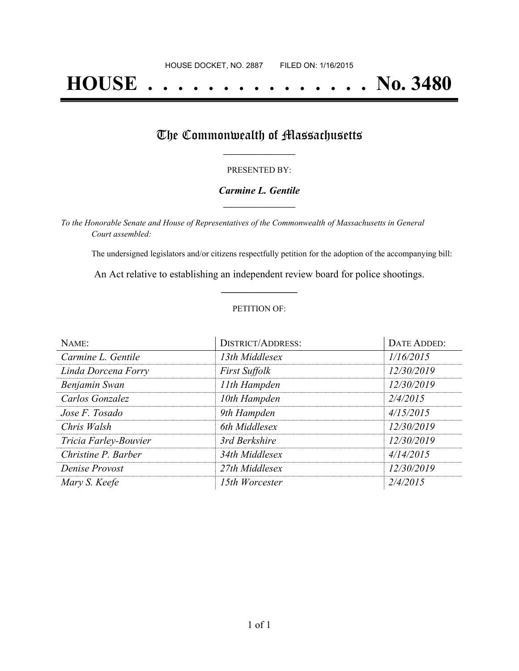# **HOUSE . . . . . . . . . . . . . . . No. 3480**

## The Commonwealth of Massachusetts

#### PRESENTED BY:

#### *Carmine L. Gentile* **\_\_\_\_\_\_\_\_\_\_\_\_\_\_\_\_\_**

*To the Honorable Senate and House of Representatives of the Commonwealth of Massachusetts in General Court assembled:*

The undersigned legislators and/or citizens respectfully petition for the adoption of the accompanying bill:

An Act relative to establishing an independent review board for police shootings. **\_\_\_\_\_\_\_\_\_\_\_\_\_\_\_**

#### PETITION OF:

| NAME:                 | <b>DISTRICT/ADDRESS:</b> | DATE ADDED: |
|-----------------------|--------------------------|-------------|
| Carmine L. Gentile    | 13th Middlesex           | 1/16/2015   |
| Linda Dorcena Forry   | <b>First Suffolk</b>     | 12/30/2019  |
| Benjamin Swan         | 11th Hampden             | 12/30/2019  |
| Carlos Gonzalez       | 10th Hampden             | 2/4/2015    |
| Jose F. Tosado        | 9th Hampden              | 4/15/2015   |
| Chris Walsh           | 6th Middlesex            | 12/30/2019  |
| Tricia Farley-Bouvier | 3rd Berkshire            | 12/30/2019  |
| Christine P. Barber   | 34th Middlesex           | 4/14/2015   |
| Denise Provost        | 27th Middlesex           | 12/30/2019  |
| Mary S. Keefe         | 15th Worcester           | 2/4/2015    |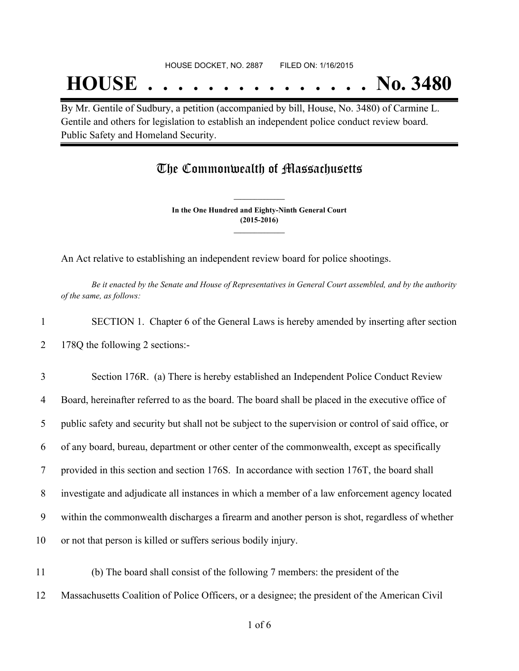## **HOUSE . . . . . . . . . . . . . . . No. 3480**

By Mr. Gentile of Sudbury, a petition (accompanied by bill, House, No. 3480) of Carmine L. Gentile and others for legislation to establish an independent police conduct review board. Public Safety and Homeland Security.

### The Commonwealth of Massachusetts

**In the One Hundred and Eighty-Ninth General Court (2015-2016) \_\_\_\_\_\_\_\_\_\_\_\_\_\_\_**

**\_\_\_\_\_\_\_\_\_\_\_\_\_\_\_**

An Act relative to establishing an independent review board for police shootings.

Be it enacted by the Senate and House of Representatives in General Court assembled, and by the authority *of the same, as follows:*

1 SECTION 1. Chapter 6 of the General Laws is hereby amended by inserting after section 2 178Q the following 2 sections:-

 Section 176R. (a) There is hereby established an Independent Police Conduct Review Board, hereinafter referred to as the board. The board shall be placed in the executive office of public safety and security but shall not be subject to the supervision or control of said office, or of any board, bureau, department or other center of the commonwealth, except as specifically provided in this section and section 176S. In accordance with section 176T, the board shall investigate and adjudicate all instances in which a member of a law enforcement agency located within the commonwealth discharges a firearm and another person is shot, regardless of whether or not that person is killed or suffers serious bodily injury.

11 (b) The board shall consist of the following 7 members: the president of the 12 Massachusetts Coalition of Police Officers, or a designee; the president of the American Civil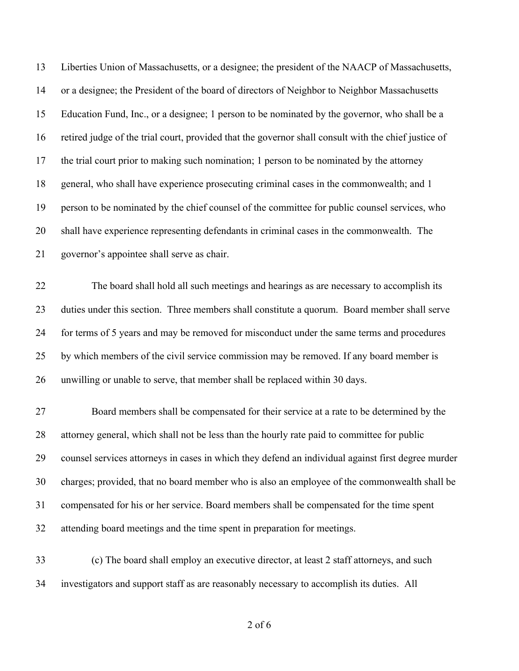| 13 | Liberties Union of Massachusetts, or a designee; the president of the NAACP of Massachusetts,        |
|----|------------------------------------------------------------------------------------------------------|
| 14 | or a designee; the President of the board of directors of Neighbor to Neighbor Massachusetts         |
| 15 | Education Fund, Inc., or a designee; 1 person to be nominated by the governor, who shall be a        |
| 16 | retired judge of the trial court, provided that the governor shall consult with the chief justice of |
| 17 | the trial court prior to making such nomination; 1 person to be nominated by the attorney            |
| 18 | general, who shall have experience prosecuting criminal cases in the commonwealth; and 1             |
| 19 | person to be nominated by the chief counsel of the committee for public counsel services, who        |
| 20 | shall have experience representing defendants in criminal cases in the commonwealth. The             |
| 21 | governor's appointee shall serve as chair.                                                           |
| 22 | The board shall hold all such meetings and hearings as are necessary to accomplish its               |
| 23 | duties under this section. Three members shall constitute a quorum. Board member shall serve         |
| 24 | for terms of 5 years and may be removed for misconduct under the same terms and procedures           |
| 25 | by which members of the civil service commission may be removed. If any board member is              |
| 26 | unwilling or unable to serve, that member shall be replaced within 30 days.                          |
| 27 | Board members shall be compensated for their service at a rate to be determined by the               |
| 28 | attorney general, which shall not be less than the hourly rate paid to committee for public          |
| 29 | counsel services attorneys in cases in which they defend an individual against first degree murder   |
| 30 | charges; provided, that no board member who is also an employee of the commonwealth shall be         |
| 31 | compensated for his or her service. Board members shall be compensated for the time spent            |
| 32 | attending board meetings and the time spent in preparation for meetings.                             |
| 33 | (c) The board shall employ an executive director, at least 2 staff attorneys, and such               |
| 34 | investigators and support staff as are reasonably necessary to accomplish its duties. All            |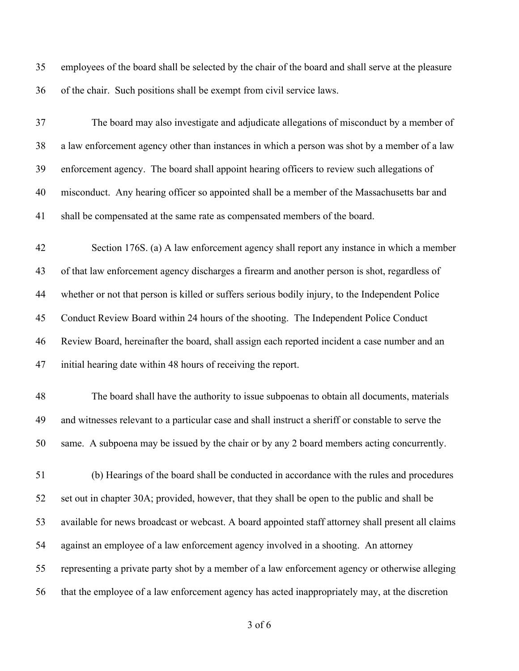employees of the board shall be selected by the chair of the board and shall serve at the pleasure of the chair. Such positions shall be exempt from civil service laws.

 The board may also investigate and adjudicate allegations of misconduct by a member of a law enforcement agency other than instances in which a person was shot by a member of a law enforcement agency. The board shall appoint hearing officers to review such allegations of misconduct. Any hearing officer so appointed shall be a member of the Massachusetts bar and shall be compensated at the same rate as compensated members of the board.

 Section 176S. (a) A law enforcement agency shall report any instance in which a member of that law enforcement agency discharges a firearm and another person is shot, regardless of whether or not that person is killed or suffers serious bodily injury, to the Independent Police Conduct Review Board within 24 hours of the shooting. The Independent Police Conduct Review Board, hereinafter the board, shall assign each reported incident a case number and an initial hearing date within 48 hours of receiving the report.

 The board shall have the authority to issue subpoenas to obtain all documents, materials and witnesses relevant to a particular case and shall instruct a sheriff or constable to serve the same. A subpoena may be issued by the chair or by any 2 board members acting concurrently.

 (b) Hearings of the board shall be conducted in accordance with the rules and procedures set out in chapter 30A; provided, however, that they shall be open to the public and shall be available for news broadcast or webcast. A board appointed staff attorney shall present all claims against an employee of a law enforcement agency involved in a shooting. An attorney representing a private party shot by a member of a law enforcement agency or otherwise alleging that the employee of a law enforcement agency has acted inappropriately may, at the discretion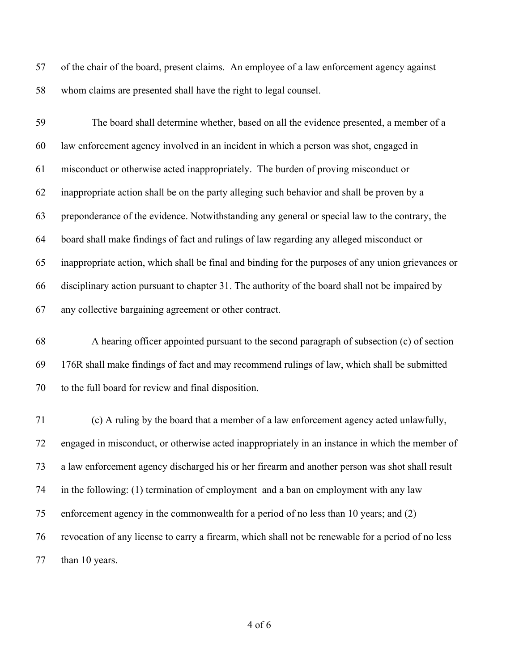of the chair of the board, present claims. An employee of a law enforcement agency against whom claims are presented shall have the right to legal counsel.

 The board shall determine whether, based on all the evidence presented, a member of a law enforcement agency involved in an incident in which a person was shot, engaged in misconduct or otherwise acted inappropriately. The burden of proving misconduct or inappropriate action shall be on the party alleging such behavior and shall be proven by a preponderance of the evidence. Notwithstanding any general or special law to the contrary, the board shall make findings of fact and rulings of law regarding any alleged misconduct or inappropriate action, which shall be final and binding for the purposes of any union grievances or disciplinary action pursuant to chapter 31. The authority of the board shall not be impaired by any collective bargaining agreement or other contract.

 A hearing officer appointed pursuant to the second paragraph of subsection (c) of section 176R shall make findings of fact and may recommend rulings of law, which shall be submitted to the full board for review and final disposition.

 (c) A ruling by the board that a member of a law enforcement agency acted unlawfully, engaged in misconduct, or otherwise acted inappropriately in an instance in which the member of a law enforcement agency discharged his or her firearm and another person was shot shall result in the following: (1) termination of employment and a ban on employment with any law enforcement agency in the commonwealth for a period of no less than 10 years; and (2) revocation of any license to carry a firearm, which shall not be renewable for a period of no less 77 than 10 years.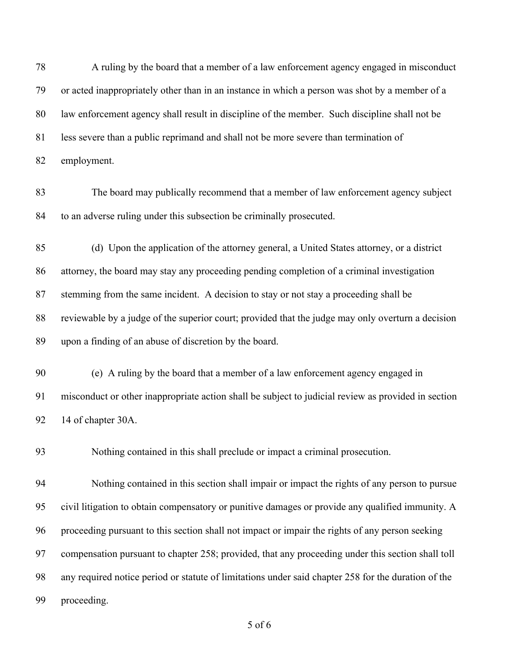A ruling by the board that a member of a law enforcement agency engaged in misconduct or acted inappropriately other than in an instance in which a person was shot by a member of a law enforcement agency shall result in discipline of the member. Such discipline shall not be less severe than a public reprimand and shall not be more severe than termination of employment. The board may publically recommend that a member of law enforcement agency subject to an adverse ruling under this subsection be criminally prosecuted. (d) Upon the application of the attorney general, a United States attorney, or a district attorney, the board may stay any proceeding pending completion of a criminal investigation stemming from the same incident. A decision to stay or not stay a proceeding shall be reviewable by a judge of the superior court; provided that the judge may only overturn a decision upon a finding of an abuse of discretion by the board. (e) A ruling by the board that a member of a law enforcement agency engaged in misconduct or other inappropriate action shall be subject to judicial review as provided in section 14 of chapter 30A. Nothing contained in this shall preclude or impact a criminal prosecution. Nothing contained in this section shall impair or impact the rights of any person to pursue civil litigation to obtain compensatory or punitive damages or provide any qualified immunity. A proceeding pursuant to this section shall not impact or impair the rights of any person seeking compensation pursuant to chapter 258; provided, that any proceeding under this section shall toll any required notice period or statute of limitations under said chapter 258 for the duration of the proceeding.